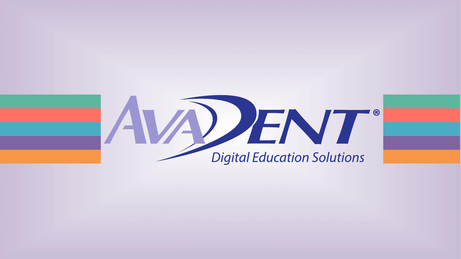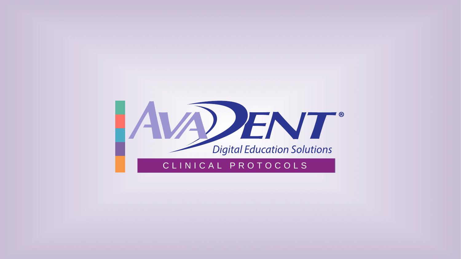

# C L I N I C A L P R O T O C O L S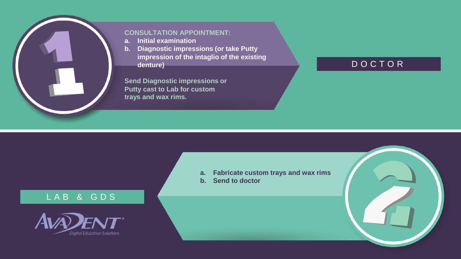

#### **CONSULTATION APPOINTMENT:**

- **a. Initial examination**
- **b. Diagnostic impressions (or take Putty impression of the intaglio of the existing denture)**

**Send Diagnostic impressions or Putty cast to Lab for custom trays and wax rims.**

# D O C T O R

# L A B & G D S



- **a. Fabricate custom trays and wax rims**
- **b. Send to doctor**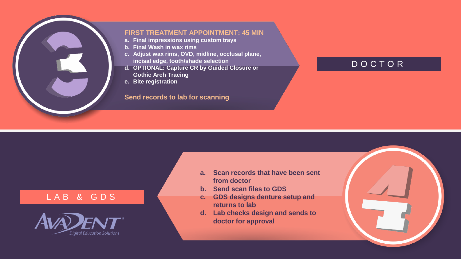

#### **FIRST TREATMENT APPOINTMENT: 45 MIN**

- **a. Final impressions using custom trays**
- **b. Final Wash in wax rims**
- **c. Adjust wax rims, OVD, midline, occlusal plane, incisal edge, tooth/shade selection**
- **d. OPTIONAL: Capture CR by Guided Closure or Gothic Arch Tracing**
- **e. Bite registration**

#### **Send records to lab for scanning**

# D O C T O R

### L A B & G D S



- **a. Scan records that have been sent from doctor**
- **b. Send scan files to GDS**
- **c. GDS designs denture setup and returns to lab**
- **d. Lab checks design and sends to doctor for approval**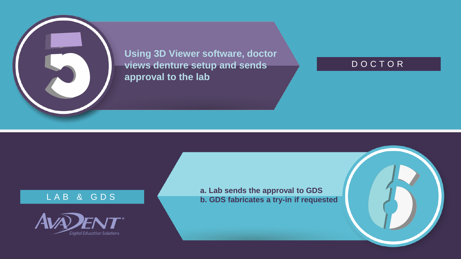**Using 3D Viewer software, doctor views denture setup and sends approval to the lab**

## D O C T O R

### L A B & G D S



**a. Lab sends the approval to GDS b. GDS fabricates a try-in if requested**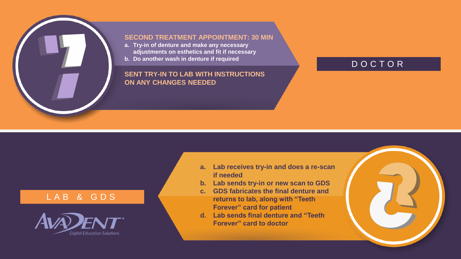#### **SECOND TREATMENT APPOINTMENT: 30 MIN**

- **a. Try-in of denture and make any necessary adjustments on esthetics and fit if necessary**
- **b. Do another wash in denture if required**

#### **SENT TRY-IN TO LAB WITH INSTRUCTIONS ON ANY CHANGES NEEDED**

# D O C T O R

#### L A B & G D S



- **a. Lab receives try-in and does a re-scan if needed**
- **b. Lab sends try-in or new scan to GDS**
- **c. GDS fabricates the final denture and returns to lab, along with "Teeth Forever" card for patient**
- **d. Lab sends final denture and "Teeth Forever" card to doctor**